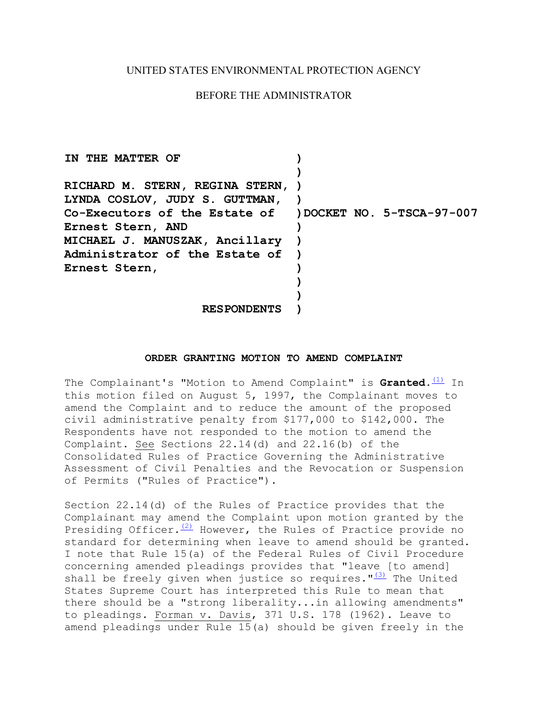## UNITED STATES ENVIRONMENTAL PROTECTION AGENCY

## BEFORE THE ADMINISTRATOR

| IN THE MATTER OF                                        |  |
|---------------------------------------------------------|--|
|                                                         |  |
| RICHARD M. STERN, REGINA STERN, )                       |  |
| LYNDA COSLOV, JUDY S. GUTTMAN,                          |  |
| Co-Executors of the Estate of )DOCKET NO. 5-TSCA-97-007 |  |
| Ernest Stern, AND                                       |  |
| MICHAEL J. MANUSZAK, Ancillary                          |  |
| Administrator of the Estate of                          |  |
| Ernest Stern,                                           |  |
|                                                         |  |
|                                                         |  |
| <b>RESPONDENTS</b>                                      |  |

## **ORDER GRANTING MOTION TO AMEND COMPLAINT**

The Complainant's "Motion to Amend Complaint" is Granted.<sup>(1)</sup> In this motion filed on August 5, 1997, the Complainant moves to amend the Complaint and to reduce the amount of the proposed civil administrative penalty from \$177,000 to \$142,000. The Respondents have not responded to the motion to amend the Complaint. See Sections 22.14(d) and 22.16(b) of the Consolidated Rules of Practice Governing the Administrative Assessment of Civil Penalties and the Revocation or Suspension of Permits ("Rules of Practice").

shall be freely given when justice so requires.  $\frac{13}{3}$  The United Section 22.14(d) of the Rules of Practice provides that the Complainant may amend the Complaint upon motion granted by the Presiding Officer. $(2)$  However, the Rules of Practice provide no standard for determining when leave to amend should be granted. I note that Rule 15(a) of the Federal Rules of Civil Procedure concerning amended pleadings provides that "leave [to amend] States Supreme Court has interpreted this Rule to mean that there should be a "strong liberality...in allowing amendments" to pleadings. Forman v. Davis, 371 U.S. 178 (1962). Leave to amend pleadings under Rule 15(a) should be given freely in the